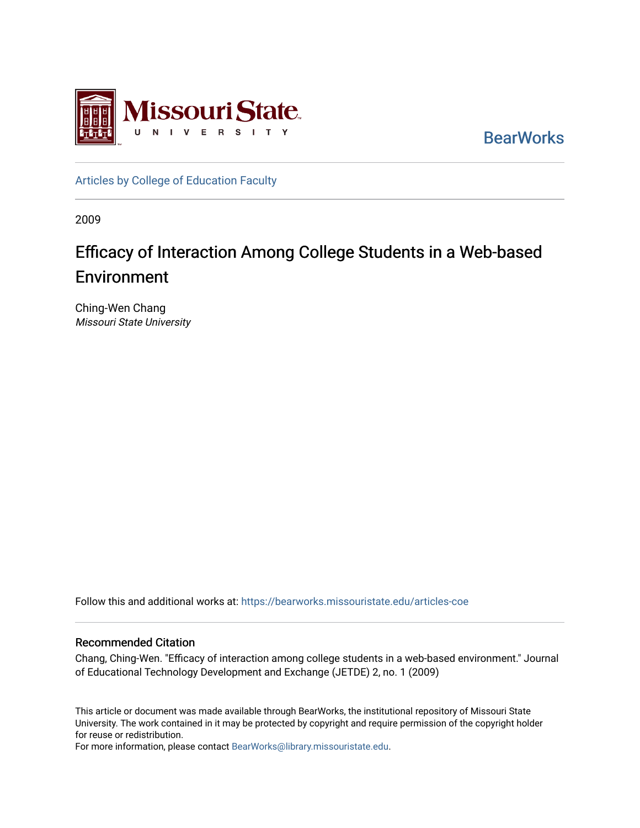

**BearWorks** 

[Articles by College of Education Faculty](https://bearworks.missouristate.edu/articles-coe) 

2009

# Efficacy of Interaction Among College Students in a Web-based Environment

Ching-Wen Chang Missouri State University

Follow this and additional works at: [https://bearworks.missouristate.edu/articles-coe](https://bearworks.missouristate.edu/articles-coe?utm_source=bearworks.missouristate.edu%2Farticles-coe%2F34&utm_medium=PDF&utm_campaign=PDFCoverPages) 

#### Recommended Citation

Chang, Ching-Wen. "Efficacy of interaction among college students in a web-based environment." Journal of Educational Technology Development and Exchange (JETDE) 2, no. 1 (2009)

This article or document was made available through BearWorks, the institutional repository of Missouri State University. The work contained in it may be protected by copyright and require permission of the copyright holder for reuse or redistribution.

For more information, please contact [BearWorks@library.missouristate.edu.](mailto:BearWorks@library.missouristate.edu)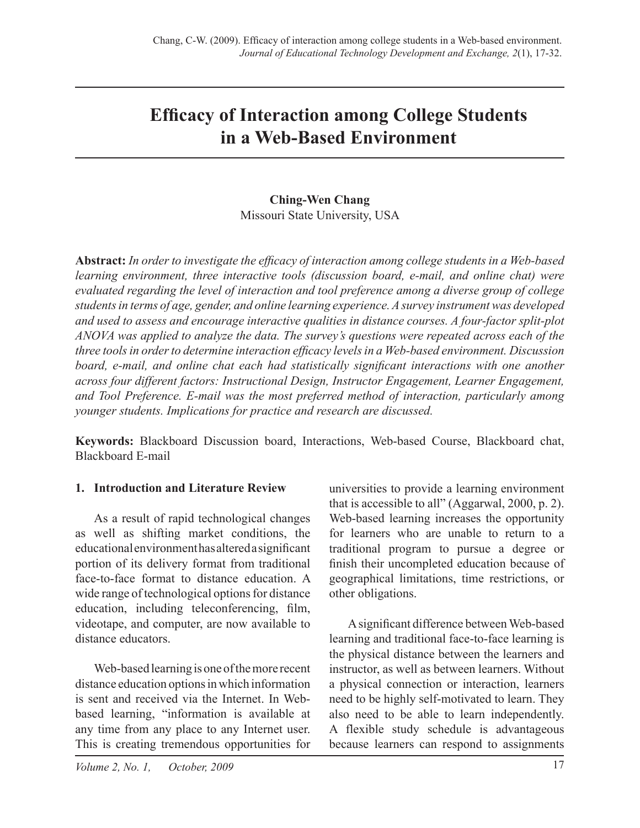# **Efficacy of Interaction among College Students in a Web-Based Environment**

## **Ching-Wen Chang**  Missouri State University, USA

**Abstract:** *In order to investigate the efficacy of interaction among college students in a Web-based learning environment, three interactive tools (discussion board, e-mail, and online chat) were evaluated regarding the level of interaction and tool preference among a diverse group of college students in terms of age, gender, and online learning experience. A survey instrument was developed and used to assess and encourage interactive qualities in distance courses. A four-factor split-plot ANOVA was applied to analyze the data. The survey's questions were repeated across each of the three tools in order to determine interaction efficacy levels in a Web-based environment. Discussion board, e-mail, and online chat each had statistically significant interactions with one another across four different factors: Instructional Design, Instructor Engagement, Learner Engagement, and Tool Preference. E-mail was the most preferred method of interaction, particularly among younger students. Implications for practice and research are discussed.*

**Keywords:** Blackboard Discussion board, Interactions, Web-based Course, Blackboard chat, Blackboard E-mail

#### **1. Introduction and Literature Review**

As a result of rapid technological changes as well as shifting market conditions, the educational environment has altered a significant portion of its delivery format from traditional face-to-face format to distance education. A wide range of technological options for distance education, including teleconferencing, film, videotape, and computer, are now available to distance educators.

Web-based learning is one of the more recent distance education options in which information is sent and received via the Internet. In Webbased learning, "information is available at any time from any place to any Internet user. This is creating tremendous opportunities for universities to provide a learning environment that is accessible to all" (Aggarwal, 2000, p. 2). Web-based learning increases the opportunity for learners who are unable to return to a traditional program to pursue a degree or finish their uncompleted education because of geographical limitations, time restrictions, or other obligations.

A significant difference between Web-based learning and traditional face-to-face learning is the physical distance between the learners and instructor, as well as between learners. Without a physical connection or interaction, learners need to be highly self-motivated to learn. They also need to be able to learn independently. A flexible study schedule is advantageous because learners can respond to assignments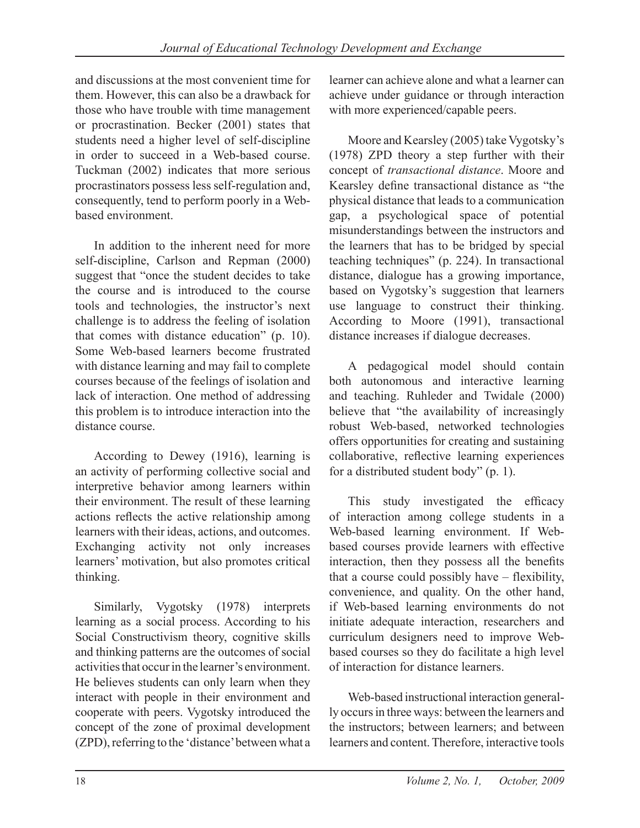and discussions at the most convenient time for them. However, this can also be a drawback for those who have trouble with time management or procrastination. Becker (2001) states that students need a higher level of self-discipline in order to succeed in a Web-based course. Tuckman (2002) indicates that more serious procrastinators possess less self-regulation and, consequently, tend to perform poorly in a Webbased environment.

In addition to the inherent need for more self-discipline, Carlson and Repman (2000) suggest that "once the student decides to take the course and is introduced to the course tools and technologies, the instructor's next challenge is to address the feeling of isolation that comes with distance education" (p. 10). Some Web-based learners become frustrated with distance learning and may fail to complete courses because of the feelings of isolation and lack of interaction. One method of addressing this problem is to introduce interaction into the distance course.

According to Dewey (1916), learning is an activity of performing collective social and interpretive behavior among learners within their environment. The result of these learning actions reflects the active relationship among learners with their ideas, actions, and outcomes. Exchanging activity not only increases learners' motivation, but also promotes critical thinking.

Similarly, Vygotsky (1978) interprets learning as a social process. According to his Social Constructivism theory, cognitive skills and thinking patterns are the outcomes of social activities that occur in the learner's environment. He believes students can only learn when they interact with people in their environment and cooperate with peers. Vygotsky introduced the concept of the zone of proximal development (ZPD), referring to the 'distance' between what a

learner can achieve alone and what a learner can achieve under guidance or through interaction with more experienced/capable peers.

Moore and Kearsley (2005) take Vygotsky's (1978) ZPD theory a step further with their concept of *transactional distance*. Moore and Kearsley define transactional distance as "the physical distance that leads to a communication gap, a psychological space of potential misunderstandings between the instructors and the learners that has to be bridged by special teaching techniques" (p. 224). In transactional distance, dialogue has a growing importance, based on Vygotsky's suggestion that learners use language to construct their thinking. According to Moore (1991), transactional distance increases if dialogue decreases.

A pedagogical model should contain both autonomous and interactive learning and teaching. Ruhleder and Twidale (2000) believe that "the availability of increasingly robust Web-based, networked technologies offers opportunities for creating and sustaining collaborative, reflective learning experiences for a distributed student body" (p. 1).

This study investigated the efficacy of interaction among college students in a Web-based learning environment. If Webbased courses provide learners with effective interaction, then they possess all the benefits that a course could possibly have – flexibility, convenience, and quality. On the other hand, if Web-based learning environments do not initiate adequate interaction, researchers and curriculum designers need to improve Webbased courses so they do facilitate a high level of interaction for distance learners.

Web-based instructional interaction generally occurs in three ways: between the learners and the instructors; between learners; and between learners and content. Therefore, interactive tools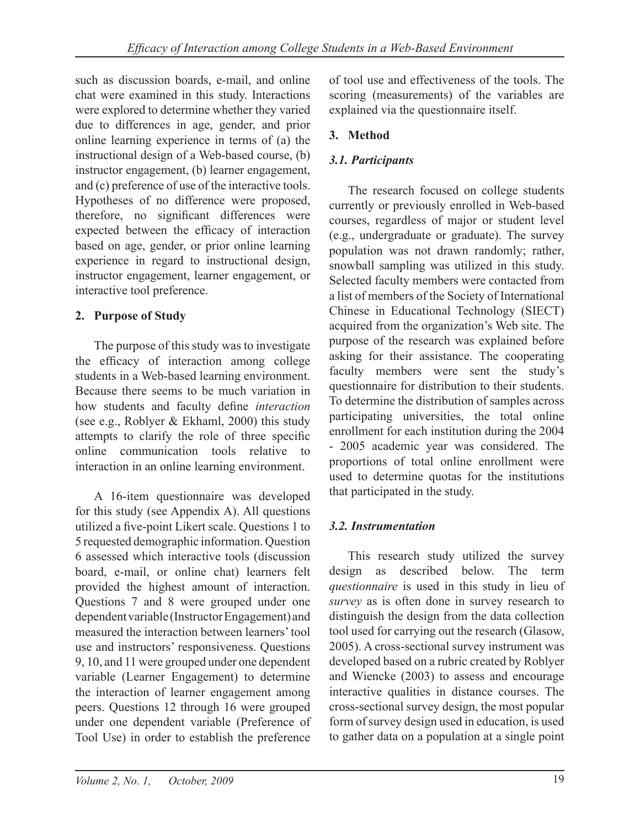such as discussion boards, e-mail, and online chat were examined in this study. Interactions were explored to determine whether they varied due to differences in age, gender, and prior online learning experience in terms of (a) the instructional design of a Web-based course, (b) instructor engagement, (b) learner engagement, and (c) preference of use of the interactive tools. Hypotheses of no difference were proposed, therefore, no significant differences were expected between the efficacy of interaction based on age, gender, or prior online learning experience in regard to instructional design, instructor engagement, learner engagement, or interactive tool preference.

## **2. Purpose of Study**

The purpose of this study was to investigate the efficacy of interaction among college students in a Web-based learning environment. Because there seems to be much variation in how students and faculty define *interaction* (see e.g., Roblyer & Ekhaml, 2000) this study attempts to clarify the role of three specific online communication tools relative to interaction in an online learning environment.

A 16-item questionnaire was developed for this study (see Appendix A). All questions utilized a five-point Likert scale. Questions 1 to 5 requested demographic information. Question 6 assessed which interactive tools (discussion board, e-mail, or online chat) learners felt provided the highest amount of interaction. Questions 7 and 8 were grouped under one dependent variable (Instructor Engagement) and measured the interaction between learners' tool use and instructors' responsiveness. Questions 9, 10, and 11 were grouped under one dependent variable (Learner Engagement) to determine the interaction of learner engagement among peers. Questions 12 through 16 were grouped under one dependent variable (Preference of Tool Use) in order to establish the preference

of tool use and effectiveness of the tools. The scoring (measurements) of the variables are explained via the questionnaire itself.

## **3. Method**

# *3.1. Participants*

The research focused on college students currently or previously enrolled in Web-based courses, regardless of major or student level (e.g., undergraduate or graduate). The survey population was not drawn randomly; rather, snowball sampling was utilized in this study. Selected faculty members were contacted from a list of members of the Society of International Chinese in Educational Technology (SIECT) acquired from the organization's Web site. The purpose of the research was explained before asking for their assistance. The cooperating faculty members were sent the study's questionnaire for distribution to their students. To determine the distribution of samples across participating universities, the total online enrollment for each institution during the 2004 - 2005 academic year was considered. The proportions of total online enrollment were used to determine quotas for the institutions that participated in the study.

# *3.2. Instrumentation*

This research study utilized the survey design as described below. The term *questionnaire* is used in this study in lieu of *survey* as is often done in survey research to distinguish the design from the data collection tool used for carrying out the research (Glasow, 2005). A cross-sectional survey instrument was developed based on a rubric created by Roblyer and Wiencke (2003) to assess and encourage interactive qualities in distance courses. The cross-sectional survey design, the most popular form of survey design used in education, is used to gather data on a population at a single point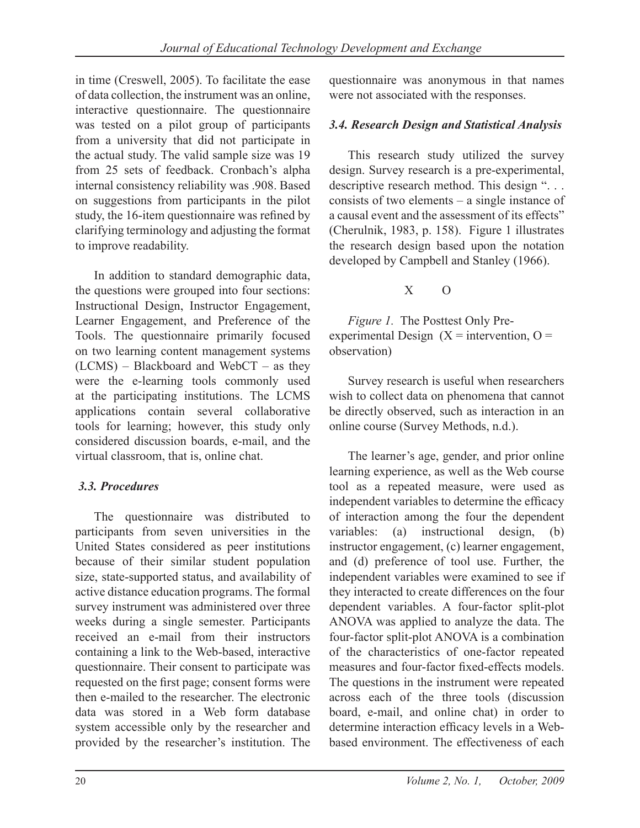in time (Creswell, 2005). To facilitate the ease of data collection, the instrument was an online, interactive questionnaire. The questionnaire was tested on a pilot group of participants from a university that did not participate in the actual study. The valid sample size was 19 from 25 sets of feedback. Cronbach's alpha internal consistency reliability was .908. Based on suggestions from participants in the pilot study, the 16-item questionnaire was refined by clarifying terminology and adjusting the format to improve readability.

In addition to standard demographic data, the questions were grouped into four sections: Instructional Design, Instructor Engagement, Learner Engagement, and Preference of the Tools. The questionnaire primarily focused on two learning content management systems (LCMS) – Blackboard and WebCT – as they were the e-learning tools commonly used at the participating institutions. The LCMS applications contain several collaborative tools for learning; however, this study only considered discussion boards, e-mail, and the virtual classroom, that is, online chat.

## *3.3. Procedures*

The questionnaire was distributed to participants from seven universities in the United States considered as peer institutions because of their similar student population size, state-supported status, and availability of active distance education programs. The formal survey instrument was administered over three weeks during a single semester. Participants received an e-mail from their instructors containing a link to the Web-based, interactive questionnaire. Their consent to participate was requested on the first page; consent forms were then e-mailed to the researcher. The electronic data was stored in a Web form database system accessible only by the researcher and provided by the researcher's institution. The

questionnaire was anonymous in that names were not associated with the responses.

## *3.4. Research Design and Statistical Analysis*

This research study utilized the survey design. Survey research is a pre-experimental, descriptive research method. This design "... consists of two elements – a single instance of a causal event and the assessment of its effects" (Cherulnik, 1983, p. 158). Figure 1 illustrates the research design based upon the notation developed by Campbell and Stanley (1966).

## $X \cap$

*Figure 1.* The Posttest Only Preexperimental Design  $(X =$  intervention,  $Q =$ observation)

Survey research is useful when researchers wish to collect data on phenomena that cannot be directly observed, such as interaction in an online course (Survey Methods, n.d.).

The learner's age, gender, and prior online learning experience, as well as the Web course tool as a repeated measure, were used as independent variables to determine the efficacy of interaction among the four the dependent variables: (a) instructional design, (b) instructor engagement, (c) learner engagement, and (d) preference of tool use. Further, the independent variables were examined to see if they interacted to create differences on the four dependent variables. A four-factor split-plot ANOVA was applied to analyze the data. The four-factor split-plot ANOVA is a combination of the characteristics of one-factor repeated measures and four-factor fixed-effects models. The questions in the instrument were repeated across each of the three tools (discussion board, e-mail, and online chat) in order to determine interaction efficacy levels in a Webbased environment. The effectiveness of each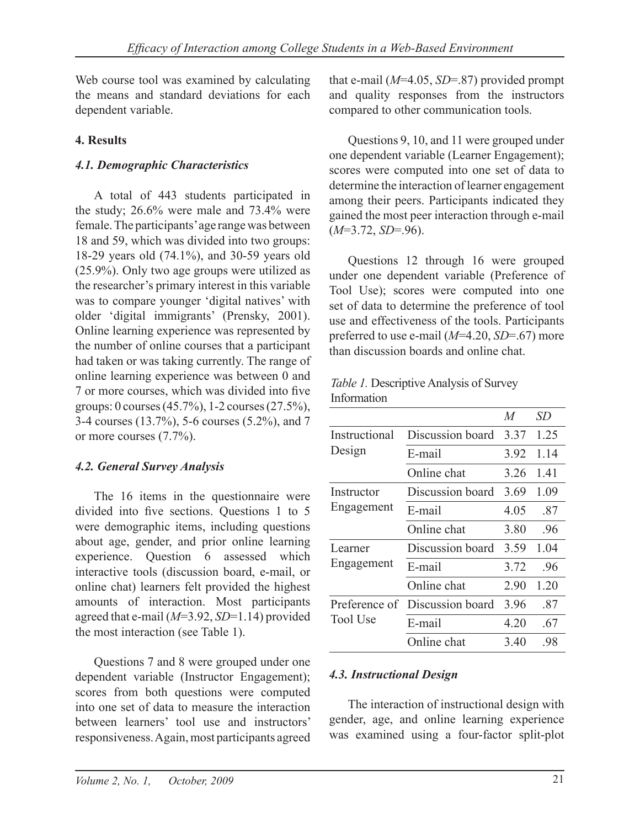Web course tool was examined by calculating the means and standard deviations for each dependent variable.

## **4. Results**

## *4.1. Demographic Characteristics*

A total of 443 students participated in the study; 26.6% were male and 73.4% were female. The participants' age range was between 18 and 59, which was divided into two groups: 18-29 years old (74.1%), and 30-59 years old (25.9%). Only two age groups were utilized as the researcher's primary interest in this variable was to compare younger 'digital natives' with older 'digital immigrants' (Prensky, 2001). Online learning experience was represented by the number of online courses that a participant had taken or was taking currently. The range of online learning experience was between 0 and 7 or more courses, which was divided into five groups: 0 courses (45.7%), 1-2 courses (27.5%), 3-4 courses (13.7%), 5-6 courses (5.2%), and 7 or more courses (7.7%).

## *4.2. General Survey Analysis*

The 16 items in the questionnaire were divided into five sections. Questions 1 to 5 were demographic items, including questions about age, gender, and prior online learning experience. Question 6 assessed which interactive tools (discussion board, e-mail, or online chat) learners felt provided the highest amounts of interaction. Most participants agreed that e-mail (*M*=3.92, *SD*=1.14) provided the most interaction (see Table 1).

Questions 7 and 8 were grouped under one dependent variable (Instructor Engagement); scores from both questions were computed into one set of data to measure the interaction between learners' tool use and instructors' responsiveness. Again, most participants agreed that e-mail (*M*=4.05, *SD*=.87) provided prompt and quality responses from the instructors compared to other communication tools.

Questions 9, 10, and 11 were grouped under one dependent variable (Learner Engagement); scores were computed into one set of data to determine the interaction of learner engagement among their peers. Participants indicated they gained the most peer interaction through e-mail (*M*=3.72, *SD*=.96).

Questions 12 through 16 were grouped under one dependent variable (Preference of Tool Use); scores were computed into one set of data to determine the preference of tool use and effectiveness of the tools. Participants preferred to use e-mail (*M*=4.20, *SD*=.67) more than discussion boards and online chat.

*Table 1.* Descriptive Analysis of Survey Information

|                                  |                  | $\overline{M}$ | SD   |
|----------------------------------|------------------|----------------|------|
| Instructional                    | Discussion board | 3.37           | 1.25 |
| Design                           | E-mail           | 3.92           | 1.14 |
|                                  | Online chat      | 3 26           | 1.41 |
| Instructor                       | Discussion board | 3.69           | 1.09 |
| Engagement                       | E-mail           | 4.05           | .87  |
|                                  | Online chat      | 3.80           | .96  |
| Learner                          | Discussion board | 3.59           | 1.04 |
| Engagement                       | E-mail           | 3.72           | -96  |
|                                  | Online chat      | 290            | 1 20 |
| Preference of<br><b>Tool Use</b> | Discussion board | 396            | .87  |
|                                  | E-mail           | 4 20           | .67  |
|                                  | Online chat      | 3.40           | .98  |

### *4.3. Instructional Design*

The interaction of instructional design with gender, age, and online learning experience was examined using a four-factor split-plot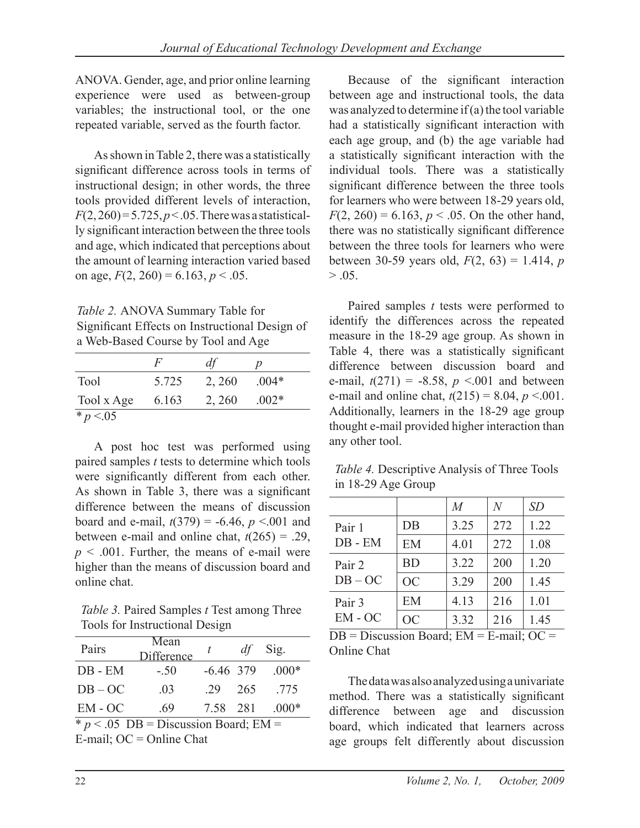ANOVA. Gender, age, and prior online learning experience were used as between-group variables; the instructional tool, or the one repeated variable, served as the fourth factor.

As shown in Table 2, there was a statistically significant difference across tools in terms of instructional design; in other words, the three tools provided different levels of interaction,  $F(2, 260) = 5.725, p < .05$ . There was a statistically significant interaction between the three tools and age, which indicated that perceptions about the amount of learning interaction varied based on age,  $F(2, 260) = 6.163$ ,  $p < .05$ .

*Table 2.* ANOVA Summary Table for Significant Effects on Instructional Design of a Web-Based Course by Tool and Age

|              | F       | df     | D       |
|--------------|---------|--------|---------|
| <b>Tool</b>  | 5 7 2 5 | 2, 260 | $.004*$ |
| Tool x Age   | 6.163   | 2, 260 | $.002*$ |
| * $p < 0.05$ |         |        |         |

A post hoc test was performed using paired samples *t* tests to determine which tools were significantly different from each other. As shown in Table 3, there was a significant difference between the means of discussion board and e-mail,  $t(379) = -6.46$ ,  $p < 0.01$  and between e-mail and online chat,  $t(265) = .29$ ,  $p < .001$ . Further, the means of e-mail were higher than the means of discussion board and online chat.

*Table 3.* Paired Samples *t* Test among Three Tools for Instructional Design

| Pairs                                   | Mean<br>Difference | t           | df  | Sig.    |
|-----------------------------------------|--------------------|-------------|-----|---------|
| $DB$ - $EM$                             | $-.50$             | $-6.46$ 379 |     | $.000*$ |
| $DB-OC$                                 | .03                | 29          | 265 | 775     |
| $EM-OC$                                 | -69                | 7.58 281    |     | $.000*$ |
| $* p < .05$ DB = Discussion Board; EM = |                    |             |     |         |

E-mail;  $OC = Online$  Chat

Because of the significant interaction between age and instructional tools, the data was analyzed to determine if (a) the tool variable had a statistically significant interaction with each age group, and (b) the age variable had a statistically significant interaction with the individual tools. There was a statistically significant difference between the three tools for learners who were between 18-29 years old,  $F(2, 260) = 6.163$ ,  $p < .05$ . On the other hand, there was no statistically significant difference between the three tools for learners who were between 30-59 years old,  $F(2, 63) = 1.414$ , *p*  $> .05.$ 

Paired samples *t* tests were performed to identify the differences across the repeated measure in the 18-29 age group. As shown in Table 4, there was a statistically significant difference between discussion board and e-mail,  $t(271) = -8.58$ ,  $p \le 0.001$  and between e-mail and online chat,  $t(215) = 8.04$ ,  $p < .001$ . Additionally, learners in the 18-29 age group thought e-mail provided higher interaction than any other tool.

*Table 4.* Descriptive Analysis of Three Tools in 18-29 Age Group

|             |           | $\overline{M}$ | N   | SD   |
|-------------|-----------|----------------|-----|------|
| Pair 1      | $DB$      | 3.25           | 272 | 1.22 |
| $DB$ - $EM$ | EM        | 4.01           | 272 | 1.08 |
| Pair 2      | <b>BD</b> | 3.22           | 200 | 1.20 |
| $DB-OC$     | <b>OC</b> | 3.29           | 200 | 1.45 |
| Pair 3      | EM        | 4.13           | 216 | 1.01 |
| $EM-OC$     | <b>OC</b> | 3.32           | 216 | 1.45 |

 $DB = Discussion$  Board;  $EM = E-mail$ ;  $OC =$ Online Chat

The data was also analyzed using a univariate method. There was a statistically significant difference between age and discussion board, which indicated that learners across age groups felt differently about discussion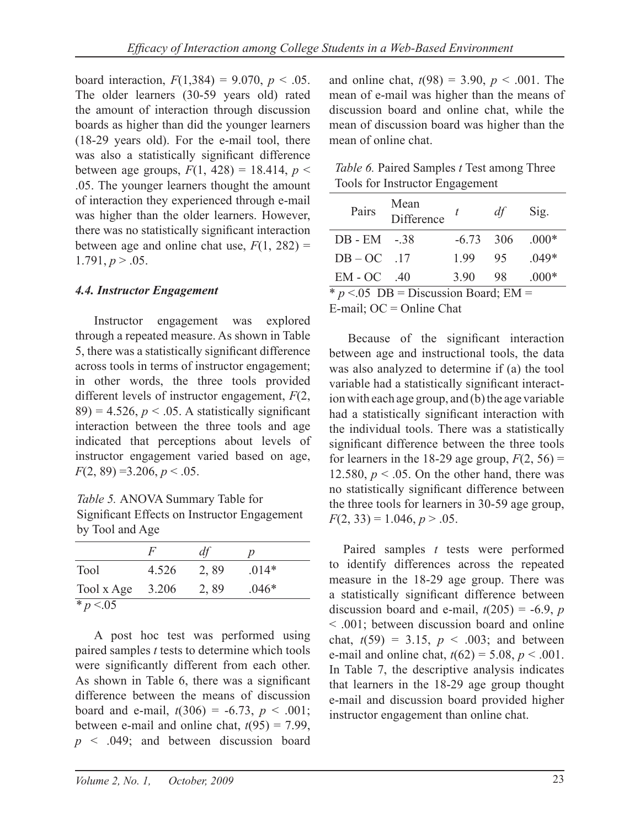board interaction,  $F(1,384) = 9.070$ ,  $p < .05$ . The older learners (30-59 years old) rated the amount of interaction through discussion boards as higher than did the younger learners (18-29 years old). For the e-mail tool, there was also a statistically significant difference between age groups,  $F(1, 428) = 18.414$ ,  $p <$ .05. The younger learners thought the amount of interaction they experienced through e-mail was higher than the older learners. However, there was no statistically significant interaction between age and online chat use,  $F(1, 282)$  =  $1.791, p > .05.$ 

#### *4.4. Instructor Engagement*

Instructor engagement was explored through a repeated measure. As shown in Table 5, there was a statistically significant difference across tools in terms of instructor engagement; in other words, the three tools provided different levels of instructor engagement, *F*(2,  $89$ ) = 4.526,  $p < .05$ . A statistically significant interaction between the three tools and age indicated that perceptions about levels of instructor engagement varied based on age,  $F(2, 89) = 3.206, p < .05.$ 

*Table 5.* ANOVA Summary Table for Significant Effects on Instructor Engagement by Tool and Age

|              | F     | df   |         |
|--------------|-------|------|---------|
| <b>Tool</b>  | 4.526 | 2,89 | $.014*$ |
| Tool x Age   | 3.206 | 2,89 | $.046*$ |
| * $p < 0.05$ |       |      |         |

A post hoc test was performed using paired samples *t* tests to determine which tools were significantly different from each other. As shown in Table 6, there was a significant difference between the means of discussion board and e-mail,  $t(306) = -6.73$ ,  $p < .001$ ; between e-mail and online chat,  $t(95) = 7.99$ , *p* < .049; and between discussion board and online chat,  $t(98) = 3.90$ ,  $p < .001$ . The mean of e-mail was higher than the means of discussion board and online chat, while the mean of discussion board was higher than the mean of online chat.

| <i>Table 6.</i> Paired Samples <i>t</i> Test among Three |
|----------------------------------------------------------|
| Tools for Instructor Engagement                          |

| Pairs                                  | Mean<br>Difference | t           | df  | Sig.    |  |
|----------------------------------------|--------------------|-------------|-----|---------|--|
| $DB - EM - 38$                         |                    | $-6.73$ 306 |     | $.000*$ |  |
| $DB-OC$ .17                            |                    | 199         | 95  | $.049*$ |  |
| EM - OC                                | -40                | 3.90        | -98 | $.000*$ |  |
| $* n < 05$ DR = Discussion Roard: FM = |                    |             |     |         |  |

 $p < 05$  DB = Discussion Board; EM E-mail;  $OC = Online$  Chat

Because of the significant interaction between age and instructional tools, the data was also analyzed to determine if (a) the tool variable had a statistically significant interaction with each age group, and (b) the age variable had a statistically significant interaction with the individual tools. There was a statistically significant difference between the three tools for learners in the 18-29 age group,  $F(2, 56)$  = 12.580,  $p < .05$ . On the other hand, there was no statistically significant difference between the three tools for learners in 30-59 age group,  $F(2, 33) = 1.046, p > .05.$ 

Paired samples *t* tests were performed to identify differences across the repeated measure in the 18-29 age group. There was a statistically significant difference between discussion board and e-mail,  $t(205) = -6.9$ , *p* < .001; between discussion board and online chat,  $t(59) = 3.15$ ,  $p < .003$ ; and between e-mail and online chat,  $t(62) = 5.08$ ,  $p < .001$ . In Table 7, the descriptive analysis indicates that learners in the 18-29 age group thought e-mail and discussion board provided higher instructor engagement than online chat.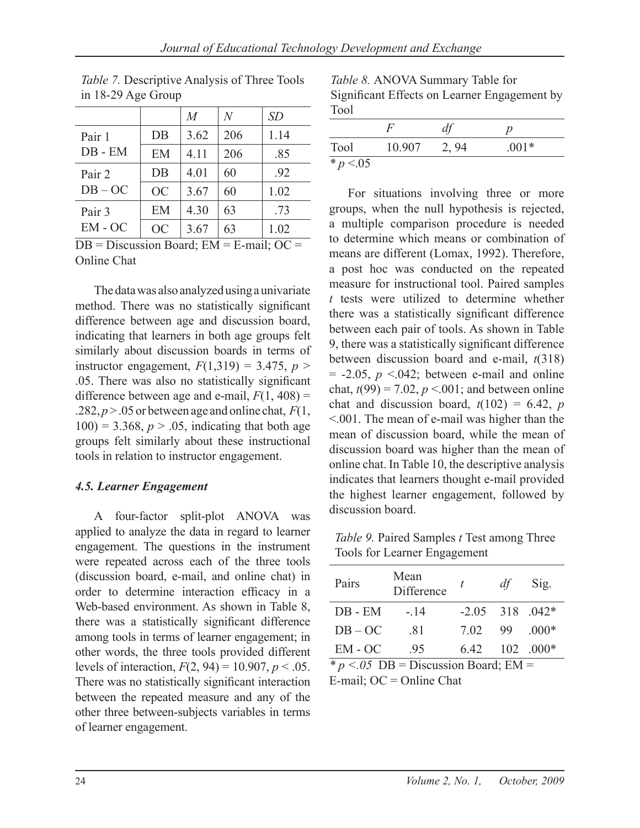|             |           | $\overline{M}$ | N   | <i>SD</i> |
|-------------|-----------|----------------|-----|-----------|
| Pair 1      | DB        | 3.62           | 206 | 1.14      |
| $DB$ - $EM$ | EM        | 4 1 1          | 206 | .85       |
| Pair 2      | DB        | 4.01           | 60  | .92       |
| $DB-OC$     | <b>OC</b> | 3.67           | 60  | 1.02      |
| Pair 3      | EM        | 4.30           | 63  | .73       |
| $EM-OC$     | <b>OC</b> | 3.67           | 63  | 1.02      |

*Table 7.* Descriptive Analysis of Three Tools in 18-29 Age Group

 $DB = Discussion$  Board;  $EM = E-mail$ ;  $OC =$ Online Chat

The data was also analyzed using a univariate method. There was no statistically significant difference between age and discussion board, indicating that learners in both age groups felt similarly about discussion boards in terms of instructor engagement,  $F(1,319) = 3.475$ ,  $p >$ .05. There was also no statistically significant difference between age and e-mail,  $F(1, 408)$  = .282,  $p > 0.05$  or between age and online chat,  $F(1,$  $100$ ) = 3.368,  $p > .05$ , indicating that both age groups felt similarly about these instructional tools in relation to instructor engagement.

#### *4.5. Learner Engagement*

A four-factor split-plot ANOVA was applied to analyze the data in regard to learner engagement. The questions in the instrument were repeated across each of the three tools (discussion board, e-mail, and online chat) in order to determine interaction efficacy in a Web-based environment. As shown in Table 8, there was a statistically significant difference among tools in terms of learner engagement; in other words, the three tools provided different levels of interaction,  $F(2, 94) = 10.907$ ,  $p < .05$ . There was no statistically significant interaction between the repeated measure and any of the other three between-subjects variables in terms of learner engagement.

*Table 8.* ANOVA Summary Table for Significant Effects on Learner Engagement by Tool

| Tool       | 10.907 | 2, 94 | $.001*$ |
|------------|--------|-------|---------|
| * $p < 05$ |        |       |         |

For situations involving three or more groups, when the null hypothesis is rejected, a multiple comparison procedure is needed to determine which means or combination of means are different (Lomax, 1992). Therefore, a post hoc was conducted on the repeated measure for instructional tool. Paired samples *t* tests were utilized to determine whether there was a statistically significant difference between each pair of tools. As shown in Table 9, there was a statistically significant difference between discussion board and e-mail, *t*(318)  $= -2.05$ ,  $p \le 0.042$ ; between e-mail and online chat,  $t(99) = 7.02$ ,  $p < .001$ ; and between online chat and discussion board,  $t(102) = 6.42$ , *p* <.001. The mean of e-mail was higher than the mean of discussion board, while the mean of discussion board was higher than the mean of online chat. In Table 10, the descriptive analysis indicates that learners thought e-mail provided the highest learner engagement, followed by discussion board

*Table 9.* Paired Samples *t* Test among Three Tools for Learner Engagement

| Pairs                                    | Mean<br>Difference | t                 | df | Sig.        |
|------------------------------------------|--------------------|-------------------|----|-------------|
| $DB$ - $EM$                              | $-.14$             | $-2.05$ 318 .042* |    |             |
| $DB-OC$                                  | .81                | 7.02              | 99 | $.000*$     |
| $EM-OC$                                  | .95                | 6.42              |    | $102$ .000* |
| * $p < 0.05$ DB = Discussion Board; EM = |                    |                   |    |             |

E-mail;  $OC = Online$  Chat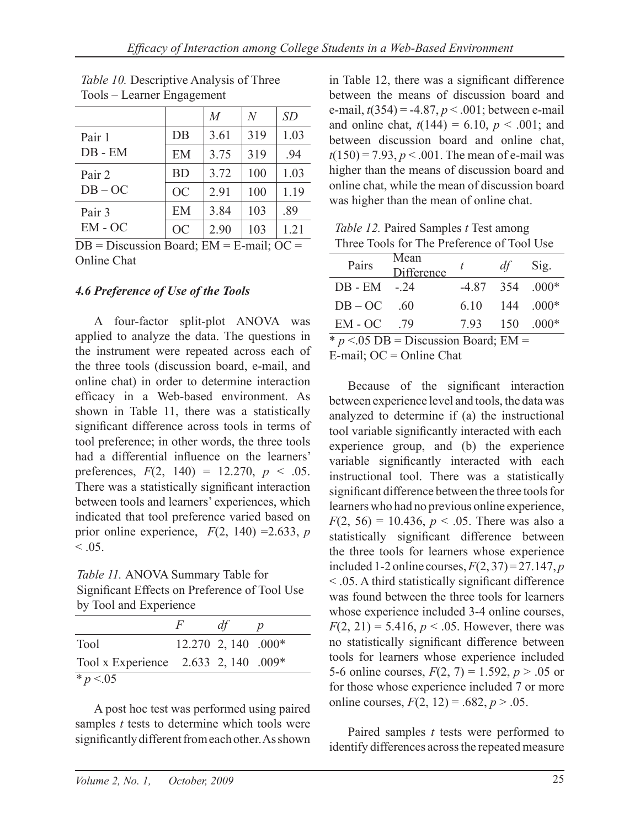|             |           | M    | N   | SD   |
|-------------|-----------|------|-----|------|
| Pair 1      | DB        | 3.61 | 319 | 1.03 |
| $DB$ - $EM$ | EM        | 3.75 | 319 | .94  |
| Pair 2      | <b>BD</b> | 3.72 | 100 | 1.03 |
| $DB-OC$     | <b>OC</b> | 2.91 | 100 | 1.19 |
| Pair 3      | EM        | 3.84 | 103 | .89  |
| $EM-OC$     | <b>OC</b> | 2.90 | 103 | 1.21 |

*Table 10.* Descriptive Analysis of Three Tools – Learner Engagement

 $DB = Discussion$  Board;  $EM = E-mail$ ;  $OC =$ Online Chat

### *4.6 Preference of Use of the Tools*

A four-factor split-plot ANOVA was applied to analyze the data. The questions in the instrument were repeated across each of the three tools (discussion board, e-mail, and online chat) in order to determine interaction efficacy in a Web-based environment. As shown in Table 11, there was a statistically significant difference across tools in terms of tool preference; in other words, the three tools had a differential influence on the learners' preferences,  $F(2, 140) = 12.270, p < .05$ . There was a statistically significant interaction between tools and learners' experiences, which indicated that tool preference varied based on prior online experience,  $F(2, 140) = 2.633$ , *p*  $< 0.05$ .

*Table 11.* ANOVA Summary Table for Significant Effects on Preference of Tool Use by Tool and Experience

|                                      | $H^+$ | df                    |  |
|--------------------------------------|-------|-----------------------|--|
| Tool                                 |       | $12.270$ 2, 140 .000* |  |
| Tool x Experience 2.633 2, 140 .009* |       |                       |  |
| * $p < 0.05$                         |       |                       |  |

A post hoc test was performed using paired samples *t* tests to determine which tools were significantly different from each other. As shown in Table 12, there was a significant difference between the means of discussion board and e-mail, *t*(354) = -4.87, *p* < .001; between e-mail and online chat,  $t(144) = 6.10$ ,  $p < .001$ ; and between discussion board and online chat,  $t(150) = 7.93$ ,  $p < .001$ . The mean of e-mail was higher than the means of discussion board and online chat, while the mean of discussion board was higher than the mean of online chat.

*Table 12.* Paired Samples *t* Test among Three Tools for The Preference of Tool Use

| Pairs                                                  | Mean<br>Difference | t    | df | Sig.                         |  |  |  |
|--------------------------------------------------------|--------------------|------|----|------------------------------|--|--|--|
| $DB - EM - 24$                                         |                    |      |    | $-4.87$ 354 000 <sup>*</sup> |  |  |  |
| $DB - OC$                                              | -60                | 6.10 |    | $144 \quad .000*$            |  |  |  |
| $EM-OC$                                                | 79                 |      |    | 7.93 150 000*                |  |  |  |
| $* p < 05 \text{ DB} = \text{Discussion Board}$ ; EM = |                    |      |    |                              |  |  |  |

 $E$ -mail;  $OC = Online$  Chat

Because of the significant interaction between experience level and tools, the data was analyzed to determine if (a) the instructional tool variable significantly interacted with each experience group, and (b) the experience variable significantly interacted with each instructional tool. There was a statistically significant difference between the three tools for learners who had no previous online experience,  $F(2, 56) = 10.436$ ,  $p < .05$ . There was also a statistically significant difference between the three tools for learners whose experience included 1-2 online courses,  $F(2, 37) = 27.147$ , *p* < .05. A third statistically significant difference was found between the three tools for learners whose experience included 3-4 online courses,  $F(2, 21) = 5.416$ ,  $p < .05$ . However, there was no statistically significant difference between tools for learners whose experience included 5-6 online courses,  $F(2, 7) = 1.592$ ,  $p > .05$  or for those whose experience included 7 or more online courses,  $F(2, 12) = .682, p > .05$ .

Paired samples *t* tests were performed to identify differences across the repeated measure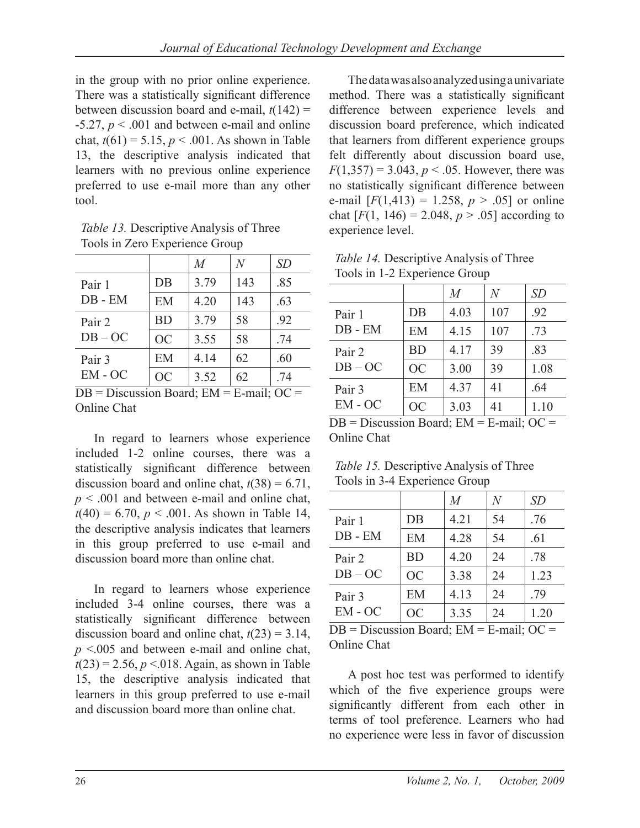in the group with no prior online experience. There was a statistically significant difference between discussion board and e-mail,  $t(142)$  =  $-5.27, p \leq 0.001$  and between e-mail and online chat,  $t(61) = 5.15$ ,  $p < .001$ . As shown in Table 13, the descriptive analysis indicated that learners with no previous online experience preferred to use e-mail more than any other tool.

*Table 13.* Descriptive Analysis of Three Tools in Zero Experience Group

|                                  |            | $\overline{M}$ | $\,N$                             | SD            |
|----------------------------------|------------|----------------|-----------------------------------|---------------|
| Pair 1                           | $DB$       | 3.79           | 143                               | .85           |
| $DB$ - $EM$                      | EM         | 4.20           | 143                               | .63           |
| Pair 2<br>$DB-OC$                | <b>BD</b>  | 3.79           | 58                                | .92           |
|                                  | <b>OC</b>  | 3.55           | 58                                | .74           |
| Pair 3<br>$EM-OC$                | EM         | 4.14           | 62                                | .60           |
|                                  | <b>OC</b>  | 3.52           | 62                                | .74           |
| $\mathbf{r}$ .<br>n <sub>n</sub> | $\sqrt{ }$ | $1 \sqrt{2}$   | $^{\bullet}$ 1 $^{\bullet}$<br>T. | $\sim$ $\sim$ |

 $DB = Discussion$  Board;  $EM = E-mail$ ;  $OC =$ Online Chat

In regard to learners whose experience included 1-2 online courses, there was a statistically significant difference between discussion board and online chat,  $t(38) = 6.71$ , *p* < .001 and between e-mail and online chat,  $t(40) = 6.70$ ,  $p < .001$ . As shown in Table 14, the descriptive analysis indicates that learners in this group preferred to use e-mail and discussion board more than online chat.

In regard to learners whose experience included 3-4 online courses, there was a statistically significant difference between discussion board and online chat,  $t(23) = 3.14$ , *p* <.005 and between e-mail and online chat,  $t(23) = 2.56, p < 0.018$ . Again, as shown in Table 15, the descriptive analysis indicated that learners in this group preferred to use e-mail and discussion board more than online chat.

The data was also analyzed using a univariate method. There was a statistically significant difference between experience levels and discussion board preference, which indicated that learners from different experience groups felt differently about discussion board use,  $F(1,357) = 3.043$ ,  $p < .05$ . However, there was no statistically significant difference between e-mail  $[F(1,413) = 1.258, p > .05]$  or online chat  $[F(1, 146) = 2.048, p > .05]$  according to experience level.

| <i>Table 14.</i> Descriptive Analysis of Three |  |  |  |  |  |
|------------------------------------------------|--|--|--|--|--|
| Tools in 1-2 Experience Group                  |  |  |  |  |  |

|           | M    | N   | SD   |
|-----------|------|-----|------|
| DB        | 4.03 | 107 | .92  |
| EM        | 4.15 | 107 | .73  |
| <b>BD</b> | 4.17 | 39  | .83  |
| <b>OC</b> | 3.00 | 39  | 1.08 |
| EM        | 4.37 | 41  | .64  |
| <b>OC</b> | 3.03 | 41  | 1.10 |
|           |      |     |      |

 $DB = Discussion$  Board;  $EM = E-mail$ ;  $OC =$ Online Chat

*Table 15.* Descriptive Analysis of Three Tools in 3-4 Experience Group

|                       |           | $\overline{M}$ | $\,N$ | SD   |
|-----------------------|-----------|----------------|-------|------|
| Pair 1<br>$DB$ - $EM$ | $DB$      | 4.21           | 54    | .76  |
|                       | EM        | 4.28           | 54    | .61  |
| Pair 2<br>$DB-OC$     | <b>BD</b> | 4.20           | 24    | .78  |
|                       | <b>OC</b> | 3.38           | 24    | 1.23 |
| Pair 3<br>$EM-OC$     | EM        | 4.13           | 24    | .79  |
|                       | <b>OC</b> | 3.35           | 24    | 1.20 |

 $DB = Discussion$  Board;  $EM = E-mail$ ;  $OC =$ Online Chat

A post hoc test was performed to identify which of the five experience groups were significantly different from each other in terms of tool preference. Learners who had no experience were less in favor of discussion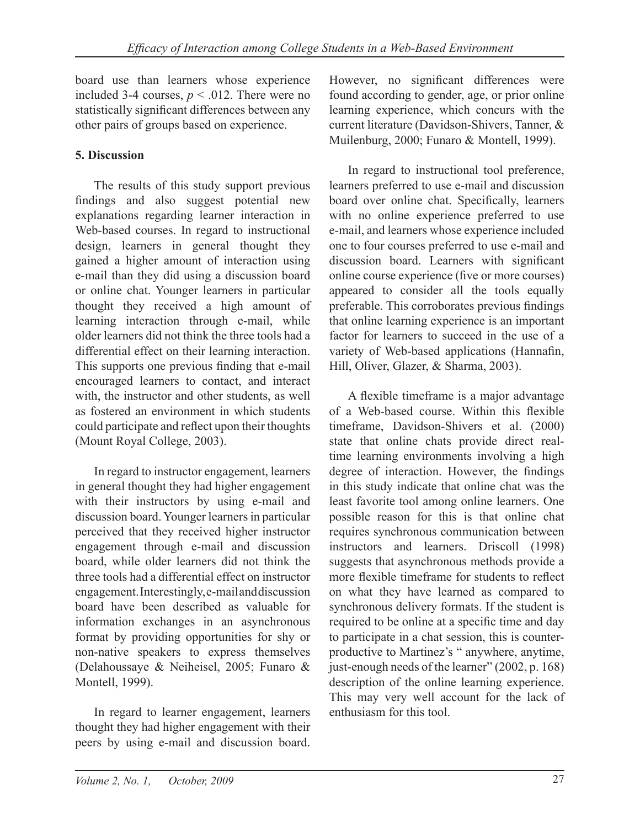board use than learners whose experience included 3-4 courses,  $p < .012$ . There were no statistically significant differences between any other pairs of groups based on experience.

## **5. Discussion**

The results of this study support previous findings and also suggest potential new explanations regarding learner interaction in Web-based courses. In regard to instructional design, learners in general thought they gained a higher amount of interaction using e-mail than they did using a discussion board or online chat. Younger learners in particular thought they received a high amount of learning interaction through e-mail, while older learners did not think the three tools had a differential effect on their learning interaction. This supports one previous finding that e-mail encouraged learners to contact, and interact with, the instructor and other students, as well as fostered an environment in which students could participate and reflect upon their thoughts (Mount Royal College, 2003).

In regard to instructor engagement, learners in general thought they had higher engagement with their instructors by using e-mail and discussion board. Younger learners in particular perceived that they received higher instructor engagement through e-mail and discussion board, while older learners did not think the three tools had a differential effect on instructor engagement. Interestingly, e-mail and discussion board have been described as valuable for information exchanges in an asynchronous format by providing opportunities for shy or non-native speakers to express themselves (Delahoussaye & Neiheisel, 2005; Funaro & Montell, 1999).

In regard to learner engagement, learners thought they had higher engagement with their peers by using e-mail and discussion board.

However, no significant differences were found according to gender, age, or prior online learning experience, which concurs with the current literature (Davidson-Shivers, Tanner, & Muilenburg, 2000; Funaro & Montell, 1999).

In regard to instructional tool preference, learners preferred to use e-mail and discussion board over online chat. Specifically, learners with no online experience preferred to use e-mail, and learners whose experience included one to four courses preferred to use e-mail and discussion board. Learners with significant online course experience (five or more courses) appeared to consider all the tools equally preferable. This corroborates previous findings that online learning experience is an important factor for learners to succeed in the use of a variety of Web-based applications (Hannafin, Hill, Oliver, Glazer, & Sharma, 2003).

A flexible timeframe is a major advantage of a Web-based course. Within this flexible timeframe, Davidson-Shivers et al. (2000) state that online chats provide direct realtime learning environments involving a high degree of interaction. However, the findings in this study indicate that online chat was the least favorite tool among online learners. One possible reason for this is that online chat requires synchronous communication between instructors and learners. Driscoll (1998) suggests that asynchronous methods provide a more flexible timeframe for students to reflect on what they have learned as compared to synchronous delivery formats. If the student is required to be online at a specific time and day to participate in a chat session, this is counterproductive to Martinez's " anywhere, anytime, just-enough needs of the learner" (2002, p. 168) description of the online learning experience. This may very well account for the lack of enthusiasm for this tool.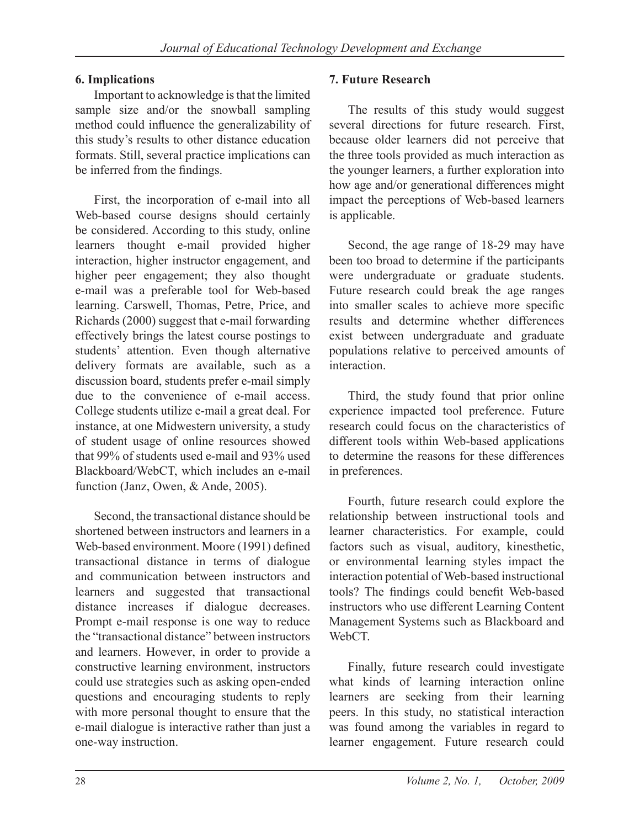## **6. Implications**

Important to acknowledge is that the limited sample size and/or the snowball sampling method could influence the generalizability of this study's results to other distance education formats. Still, several practice implications can be inferred from the findings.

First, the incorporation of e-mail into all Web-based course designs should certainly be considered. According to this study, online learners thought e-mail provided higher interaction, higher instructor engagement, and higher peer engagement; they also thought e-mail was a preferable tool for Web-based learning. Carswell, Thomas, Petre, Price, and Richards (2000) suggest that e-mail forwarding effectively brings the latest course postings to students' attention. Even though alternative delivery formats are available, such as a discussion board, students prefer e-mail simply due to the convenience of e-mail access. College students utilize e-mail a great deal. For instance, at one Midwestern university, a study of student usage of online resources showed that 99% of students used e-mail and 93% used Blackboard/WebCT, which includes an e-mail function (Janz, Owen, & Ande, 2005).

Second, the transactional distance should be shortened between instructors and learners in a Web-based environment. Moore (1991) defined transactional distance in terms of dialogue and communication between instructors and learners and suggested that transactional distance increases if dialogue decreases. Prompt e-mail response is one way to reduce the "transactional distance" between instructors and learners. However, in order to provide a constructive learning environment, instructors could use strategies such as asking open-ended questions and encouraging students to reply with more personal thought to ensure that the e-mail dialogue is interactive rather than just a one-way instruction.

## **7. Future Research**

The results of this study would suggest several directions for future research. First, because older learners did not perceive that the three tools provided as much interaction as the younger learners, a further exploration into how age and/or generational differences might impact the perceptions of Web-based learners is applicable.

Second, the age range of 18-29 may have been too broad to determine if the participants were undergraduate or graduate students. Future research could break the age ranges into smaller scales to achieve more specific results and determine whether differences exist between undergraduate and graduate populations relative to perceived amounts of interaction.

Third, the study found that prior online experience impacted tool preference. Future research could focus on the characteristics of different tools within Web-based applications to determine the reasons for these differences in preferences.

Fourth, future research could explore the relationship between instructional tools and learner characteristics. For example, could factors such as visual, auditory, kinesthetic, or environmental learning styles impact the interaction potential of Web-based instructional tools? The findings could benefit Web-based instructors who use different Learning Content Management Systems such as Blackboard and WebCT<sub>.</sub>

Finally, future research could investigate what kinds of learning interaction online learners are seeking from their learning peers. In this study, no statistical interaction was found among the variables in regard to learner engagement. Future research could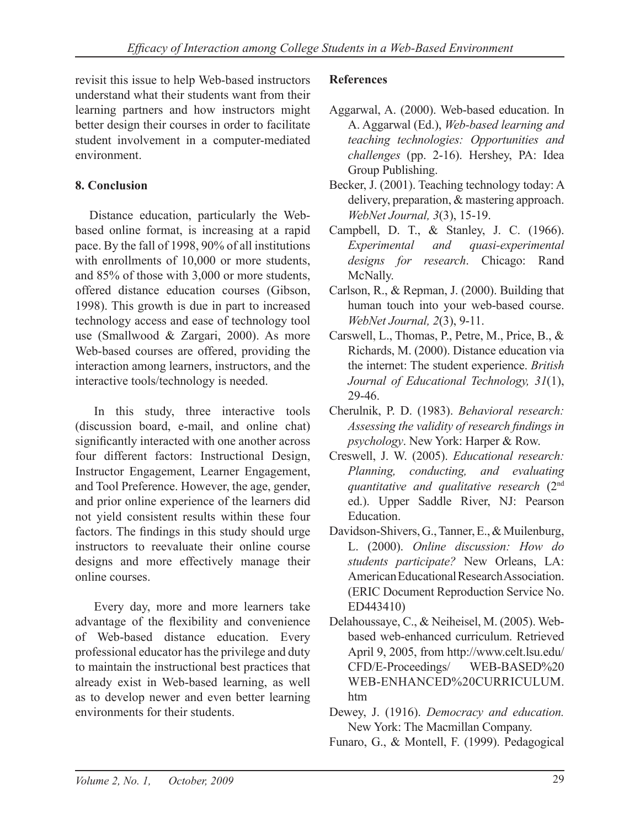revisit this issue to help Web-based instructors understand what their students want from their learning partners and how instructors might better design their courses in order to facilitate student involvement in a computer-mediated environment.

## **8. Conclusion**

Distance education, particularly the Webbased online format, is increasing at a rapid pace. By the fall of 1998, 90% of all institutions with enrollments of 10,000 or more students, and 85% of those with 3,000 or more students, offered distance education courses (Gibson, 1998). This growth is due in part to increased technology access and ease of technology tool use (Smallwood & Zargari, 2000). As more Web-based courses are offered, providing the interaction among learners, instructors, and the interactive tools/technology is needed.

In this study, three interactive tools (discussion board, e-mail, and online chat) significantly interacted with one another across four different factors: Instructional Design, Instructor Engagement, Learner Engagement, and Tool Preference. However, the age, gender, and prior online experience of the learners did not yield consistent results within these four factors. The findings in this study should urge instructors to reevaluate their online course designs and more effectively manage their online courses.

Every day, more and more learners take advantage of the flexibility and convenience of Web-based distance education. Every professional educator has the privilege and duty to maintain the instructional best practices that already exist in Web-based learning, as well as to develop newer and even better learning environments for their students.

## **References**

- Aggarwal, A. (2000). Web-based education. In A. Aggarwal (Ed.), *Web-based learning and teaching technologies: Opportunities and challenges* (pp. 2-16). Hershey, PA: Idea Group Publishing.
- Becker, J. (2001). Teaching technology today: A delivery, preparation, & mastering approach. *WebNet Journal, 3*(3), 15-19.
- Campbell, D. T., & Stanley, J. C. (1966). *Experimental and quasi-experimental designs for research*. Chicago: Rand McNally.
- Carlson, R., & Repman, J. (2000). Building that human touch into your web-based course. *WebNet Journal, 2*(3), 9-11.
- Carswell, L., Thomas, P., Petre, M., Price, B., & Richards, M. (2000). Distance education via the internet: The student experience. *British Journal of Educational Technology, 31*(1), 29-46.
- Cherulnik, P. D. (1983). *Behavioral research: Assessing the validity of research findings in psychology*. New York: Harper & Row.
- Creswell, J. W. (2005). *Educational research: Planning, conducting, and evaluating quantitative and qualitative research* (2nd ed.). Upper Saddle River, NJ: Pearson Education.
- Davidson-Shivers, G., Tanner, E., & Muilenburg, L. (2000). *Online discussion: How do students participate?* New Orleans, LA: American Educational Research Association. (ERIC Document Reproduction Service No. ED443410)
- Delahoussaye, C., & Neiheisel, M. (2005). Webbased web-enhanced curriculum. Retrieved April 9, 2005, from http://www.celt.lsu.edu/ CFD/E-Proceedings/ WEB-BASED%20 WEB-ENHANCED%20CURRICULUM. htm
- Dewey, J. (1916). *Democracy and education.* New York: The Macmillan Company.
- Funaro, G., & Montell, F. (1999). Pedagogical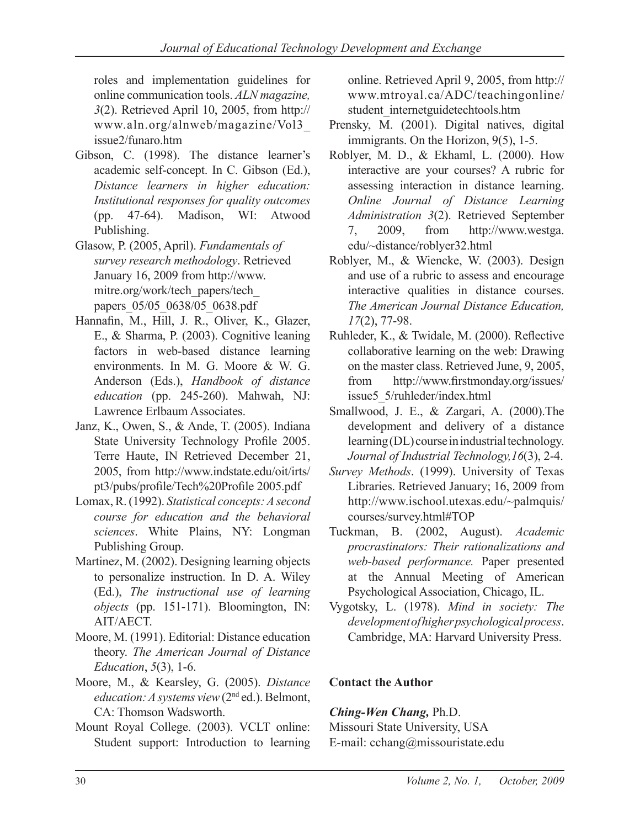roles and implementation guidelines for online communication tools. *ALN magazine, 3*(2). Retrieved April 10, 2005, from http:// www.aln.org/alnweb/magazine/Vol3\_ issue2/funaro.htm

- Gibson, C. (1998). The distance learner's academic self-concept. In C. Gibson (Ed.), *Distance learners in higher education: Institutional responses for quality outcomes*  (pp. 47-64). Madison, WI: Atwood Publishing.
- Glasow, P. (2005, April). *Fundamentals of survey research methodology*. Retrieved January 16, 2009 from http://www. mitre.org/work/tech\_papers/tech\_ papers\_05/05\_0638/05\_0638.pdf
- Hannafin, M., Hill, J. R., Oliver, K., Glazer, E., & Sharma, P. (2003). Cognitive leaning factors in web-based distance learning environments. In M. G. Moore & W. G. Anderson (Eds.), *Handbook of distance education* (pp. 245-260). Mahwah, NJ: Lawrence Erlbaum Associates.
- Janz, K., Owen, S., & Ande, T. (2005). Indiana State University Technology Profile 2005. Terre Haute, IN Retrieved December 21, 2005, from http://www.indstate.edu/oit/irts/ pt3/pubs/profile/Tech%20Profile 2005.pdf
- Lomax, R. (1992). *Statistical concepts: A second course for education and the behavioral sciences*. White Plains, NY: Longman Publishing Group.
- Martinez, M. (2002). Designing learning objects to personalize instruction. In D. A. Wiley (Ed.), *The instructional use of learning objects* (pp. 151-171). Bloomington, IN: AIT/AECT.
- Moore, M. (1991). Editorial: Distance education theory. *The American Journal of Distance Education*, *5*(3), 1-6.
- Moore, M., & Kearsley, G. (2005). *Distance education: A systems view* (2<sup>nd</sup> ed.). Belmont, CA: Thomson Wadsworth.
- Mount Royal College. (2003). VCLT online: Student support: Introduction to learning

online. Retrieved April 9, 2005, from http:// www.mtroyal.ca/ADC/teachingonline/ student\_internetguidetechtools.htm

- Prensky, M. (2001). Digital natives, digital immigrants. On the Horizon, 9(5), 1-5.
- Roblyer, M. D., & Ekhaml, L. (2000). How interactive are your courses? A rubric for assessing interaction in distance learning. *Online Journal of Distance Learning Administration 3*(2). Retrieved September 7, 2009, from http://www.westga. edu/~distance/roblyer32.html
- Roblyer, M., & Wiencke, W. (2003). Design and use of a rubric to assess and encourage interactive qualities in distance courses. *The American Journal Distance Education, 17*(2), 77-98.
- Ruhleder, K., & Twidale, M. (2000). Reflective collaborative learning on the web: Drawing on the master class. Retrieved June, 9, 2005, from http://www.firstmonday.org/issues/ issue5\_5/ruhleder/index.html
- Smallwood, J. E., & Zargari, A. (2000).The development and delivery of a distance learning (DL) course in industrial technology. *Journal of Industrial Technology,16*(3), 2-4.
- *Survey Methods*. (1999). University of Texas Libraries. Retrieved January; 16, 2009 from http://www.ischool.utexas.edu/~palmquis/ courses/survey.html#TOP
- Tuckman, B. (2002, August). *Academic procrastinators: Their rationalizations and web-based performance.* Paper presented at the Annual Meeting of American Psychological Association, Chicago, IL.
- Vygotsky, L. (1978). *Mind in society: The development of higher psychological process*. Cambridge, MA: Harvard University Press.

## **Contact the Author**

## *Ching-Wen Chang,* Ph.D.

Missouri State University, USA E-mail: cchang@missouristate.edu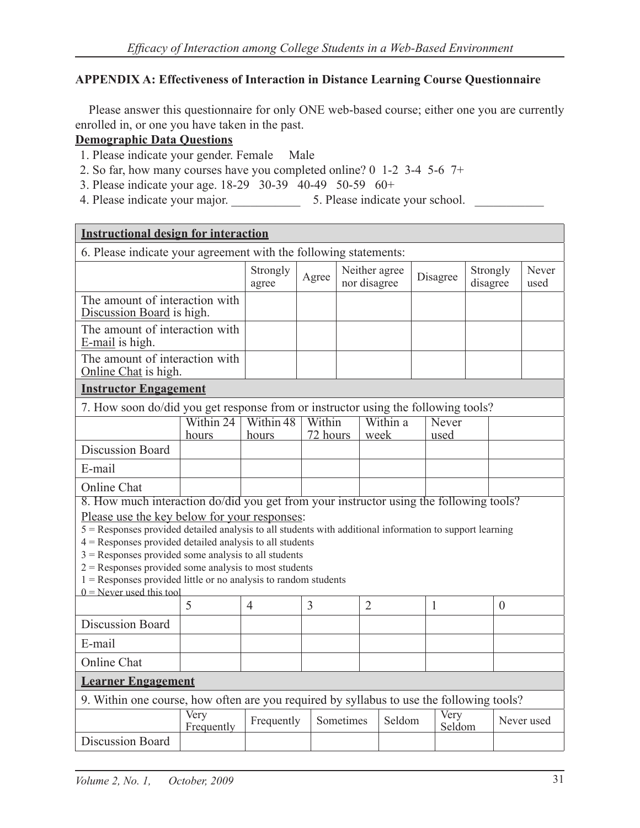#### **APPENDIX A: Effectiveness of Interaction in Distance Learning Course Questionnaire**

Please answer this questionnaire for only ONE web-based course; either one you are currently enrolled in, or one you have taken in the past.

#### **Demographic Data Questions**

- 1. Please indicate your gender. Female Male
- 2. So far, how many courses have you completed online? 0 1-2 3-4 5-6 7+
- 3. Please indicate your age. 18-29 30-39 40-49 50-59 60+
- 4. Please indicate your major. \_\_\_\_\_\_\_\_\_\_\_ 5. Please indicate your school. \_\_\_\_\_\_\_\_\_\_\_

| <b>Instructional design for interaction</b>                                                                                                                                                                                                                                                                                                                                                                                                                                                                                              |                    |                                 |                    |           |                               |                  |  |                                  |  |                |               |
|------------------------------------------------------------------------------------------------------------------------------------------------------------------------------------------------------------------------------------------------------------------------------------------------------------------------------------------------------------------------------------------------------------------------------------------------------------------------------------------------------------------------------------------|--------------------|---------------------------------|--------------------|-----------|-------------------------------|------------------|--|----------------------------------|--|----------------|---------------|
| 6. Please indicate your agreement with the following statements:                                                                                                                                                                                                                                                                                                                                                                                                                                                                         |                    |                                 |                    |           |                               |                  |  |                                  |  |                |               |
|                                                                                                                                                                                                                                                                                                                                                                                                                                                                                                                                          |                    | Strongly<br>agree               | Agree              |           | Neither agree<br>nor disagree |                  |  | Strongly<br>Disagree<br>disagree |  |                | Never<br>used |
| The amount of interaction with<br>Discussion Board is high.                                                                                                                                                                                                                                                                                                                                                                                                                                                                              |                    |                                 |                    |           |                               |                  |  |                                  |  |                |               |
| The amount of interaction with<br>E-mail is high.                                                                                                                                                                                                                                                                                                                                                                                                                                                                                        |                    |                                 |                    |           |                               |                  |  |                                  |  |                |               |
| The amount of interaction with<br>Online Chat is high.                                                                                                                                                                                                                                                                                                                                                                                                                                                                                   |                    |                                 |                    |           |                               |                  |  |                                  |  |                |               |
| <b>Instructor Engagement</b>                                                                                                                                                                                                                                                                                                                                                                                                                                                                                                             |                    |                                 |                    |           |                               |                  |  |                                  |  |                |               |
| 7. How soon do/did you get response from or instructor using the following tools?                                                                                                                                                                                                                                                                                                                                                                                                                                                        |                    |                                 |                    |           |                               |                  |  |                                  |  |                |               |
|                                                                                                                                                                                                                                                                                                                                                                                                                                                                                                                                          | Within 24<br>hours | Within $\overline{48}$<br>hours | Within<br>72 hours |           |                               | Within a<br>week |  | Never<br>used                    |  |                |               |
| <b>Discussion Board</b>                                                                                                                                                                                                                                                                                                                                                                                                                                                                                                                  |                    |                                 |                    |           |                               |                  |  |                                  |  |                |               |
| E-mail                                                                                                                                                                                                                                                                                                                                                                                                                                                                                                                                   |                    |                                 |                    |           |                               |                  |  |                                  |  |                |               |
| Online Chat                                                                                                                                                                                                                                                                                                                                                                                                                                                                                                                              |                    |                                 |                    |           |                               |                  |  |                                  |  |                |               |
| 8. How much interaction do/did you get from your instructor using the following tools?<br>Please use the key below for your responses:<br>5 = Responses provided detailed analysis to all students with additional information to support learning<br>$4$ = Responses provided detailed analysis to all students<br>$3$ = Responses provided some analysis to all students<br>$2$ = Responses provided some analysis to most students<br>$1 =$ Responses provided little or no analysis to random students<br>$0$ = Never used this tool |                    |                                 |                    |           |                               |                  |  |                                  |  |                |               |
|                                                                                                                                                                                                                                                                                                                                                                                                                                                                                                                                          | 5                  | $\overline{4}$                  | $\overline{3}$     |           | $\overline{2}$                |                  |  | $\mathbf{1}$                     |  | $\overline{0}$ |               |
| <b>Discussion Board</b>                                                                                                                                                                                                                                                                                                                                                                                                                                                                                                                  |                    |                                 |                    |           |                               |                  |  |                                  |  |                |               |
| E-mail                                                                                                                                                                                                                                                                                                                                                                                                                                                                                                                                   |                    |                                 |                    |           |                               |                  |  |                                  |  |                |               |
| Online Chat                                                                                                                                                                                                                                                                                                                                                                                                                                                                                                                              |                    |                                 |                    |           |                               |                  |  |                                  |  |                |               |
| <b>Learner Engagement</b>                                                                                                                                                                                                                                                                                                                                                                                                                                                                                                                |                    |                                 |                    |           |                               |                  |  |                                  |  |                |               |
| 9. Within one course, how often are you required by syllabus to use the following tools?                                                                                                                                                                                                                                                                                                                                                                                                                                                 |                    |                                 |                    |           |                               |                  |  |                                  |  |                |               |
|                                                                                                                                                                                                                                                                                                                                                                                                                                                                                                                                          | Very<br>Frequently | Frequently                      |                    | Sometimes |                               | Seldom           |  | Very<br>Seldom                   |  |                | Never used    |
| Discussion Board                                                                                                                                                                                                                                                                                                                                                                                                                                                                                                                         |                    |                                 |                    |           |                               |                  |  |                                  |  |                |               |